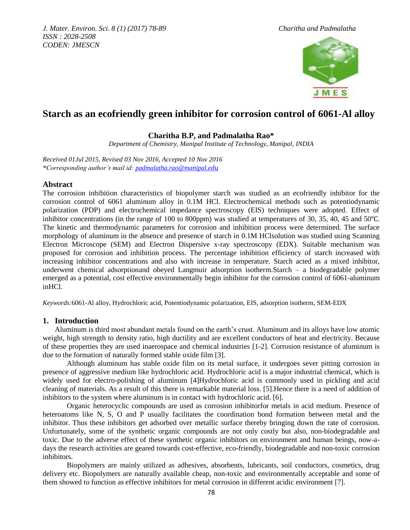

# **Starch as an ecofriendly green inhibitor for corrosion control of 6061-Al alloy**

# **Charitha B.P, and Padmalatha Rao\***

*Department of Chemistry, Manipal Institute of Technology, Manipal, INDIA*

*Received 01Jul 2015, Revised 03 Nov 2016, Accepted 10 Nov 2016 \*Corresponding author's mail id: [padmalatha.rao@manipal.ed](mailto:padmalatha.rao@manipal.edu)*u

# **Abstract**

The corrosion inhibition characteristics of biopolymer starch was studied as an ecofriendly inhibitor for the corrosion control of 6061 aluminum alloy in 0.1M HCl. Electrochemical methods such as potentiodynamic polarization (PDP) and electrochemical impedance spectroscopy (EIS) techniques were adopted. Effect of inhibitor concentrations (in the range of 100 to 800ppm) was studied at temperatures of 30, 35, 40, 45 and 50℃. The kinetic and thermodynamic parameters for corrosion and inhibition process were determined. The surface morphology of aluminum in the absence and presence of starch in 0.1M HClsolution was studied using Scanning Electron Microscope (SEM) and Electron Dispersive x-ray spectroscopy (EDX). Suitable mechanism was proposed for corrosion and inhibition process. The percentage inhibition efficiency of starch increased with increasing inhibitor concentrations and also with increase in temperature. Starch acted as a mixed inhibitor, underwent chemical adsorptionand obeyed Langmuir adsorption isotherm.Starch – a biodegradable polymer emerged as a potential, cost effective environmentally begin inhibitor for the corrosion control of 6061-aluminum inHCl.

*Keywords:*6061-Al alloy, Hydrochloric acid, Potentiodynamic polarization, EIS, adsorption isotherm, SEM-EDX

# **1. Introduction**

Aluminum is third most abundant metals found on the earth's crust. Aluminum and its alloys have low atomic weight, high strength to density ratio, high ductility and are excellent conductors of heat and electricity. Because of these properties they are used inaerospace and chemical industries [1-2]. Corrosion resistance of aluminum is due to the formation of naturally formed stable oxide film [3].

Although aluminum has stable oxide film on its metal surface, it undergoes sever pitting corrosion in presence of aggressive medium like hydrochloric acid. Hydrochloric acid is a major industrial chemical, which is widely used for electro-polishing of aluminum [4]Hydrochloric acid is commonly used in pickling and acid cleaning of materials. As a result of this there is remarkable material loss. [5].Hence there is a need of addition of inhibitors to the system where aluminum is in contact with hydrochloric acid. [6].

Organic heterocyclic compounds are used as corrosion inhibitorfor metals in acid medium. Presence of heteroatoms like N, S, O and P usually facilitates the coordination bond formation between metal and the inhibitor. Thus these inhibitors get adsorbed over metallic surface thereby bringing down the rate of corrosion. Unfortunately, some of the synthetic organic compounds are not only costly but also, non-biodegradable and toxic. Due to the adverse effect of these synthetic organic inhibitors on environment and human beings, now-adays the research activities are geared towards cost-effective, eco-friendly, biodegradable and non-toxic corrosion inhibitors.

Biopolymers are mainly utilized as adhesives, absorbents, lubricants, soil conductors, cosmetics, drug delivery etc. Biopolymers are naturally available cheap, non-toxic and environmentally acceptable and some of them showed to function as effective inhibitors for metal corrosion in different acidic environment [7].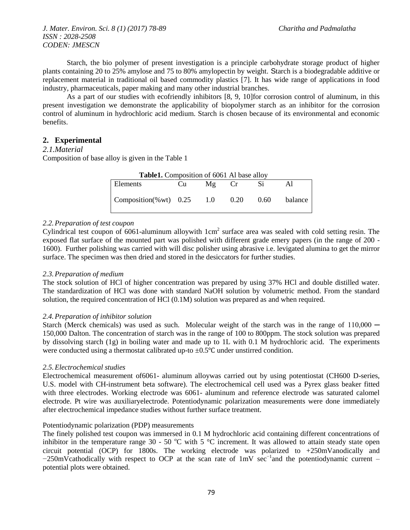Starch, the bio polymer of present investigation is a principle carbohydrate storage product of higher plants containing 20 to 25% amylose and 75 to 80% amylopectin by weight. Starch is a biodegradable additive or replacement material in traditional oil based commodity plastics [7]. It has wide range of applications in food industry, pharmaceuticals, paper making and many other industrial branches.

As a part of our studies with ecofriendly inhibitors [8, 9, 10]for corrosion control of aluminum, in this present investigation we demonstrate the applicability of biopolymer starch as an inhibitor for the corrosion control of aluminum in hydrochloric acid medium. Starch is chosen because of its environmental and economic benefits.

# **2. Experimental**

### *2.1.Material*

Composition of base alloy is given in the Table 1

| Table1. Composition of 6061 Al base alloy |      |         |      |        |         |
|-------------------------------------------|------|---------|------|--------|---------|
| Elements                                  | Cu – | $Mg$ Cr |      |        |         |
| Composition(%wt) $0.25$                   |      | 1.0     | 0.20 | (0.60) | balance |

### *2.2.Preparation of test coupon*

Cylindrical test coupon of 6061-aluminum alloywith  $1 \text{cm}^2$  surface area was sealed with cold setting resin. The exposed flat surface of the mounted part was polished with different grade emery papers (in the range of 200 - 1600). Further polishing was carried with will disc polisher using abrasive i.e. levigated alumina to get the mirror surface. The specimen was then dried and stored in the desiccators for further studies.

### *2.3.Preparation of medium*

The stock solution of HCl of higher concentration was prepared by using 37% HCl and double distilled water. The standardization of HCl was done with standard NaOH solution by volumetric method. From the standard solution, the required concentration of HCl (0.1M) solution was prepared as and when required.

### *2.4.Preparation of inhibitor solution*

Starch (Merck chemicals) was used as such. Molecular weight of the starch was in the range of  $110,000 -$ 150,000 Dalton. The concentration of starch was in the range of 100 to 800ppm. The stock solution was prepared by dissolving starch (1g) in boiling water and made up to 1L with 0.1 M hydrochloric acid. The experiments were conducted using a thermostat calibrated up-to  $\pm 0.5^{\circ}$ C under unstirred condition.

#### *2.5.Electrochemical studies*

Electrochemical measurement of6061- aluminum alloywas carried out by using potentiostat (CH600 D-series, U.S. model with CH-instrument beta software). The electrochemical cell used was a Pyrex glass beaker fitted with three electrodes. Working electrode was 6061- aluminum and reference electrode was saturated calomel electrode. Pt wire was auxiliaryelectrode. Potentiodynamic polarization measurements were done immediately after electrochemical impedance studies without further surface treatment.

### Potentiodynamic polarization (PDP) measurements

The finely polished test coupon was immersed in 0.1 M hydrochloric acid containing different concentrations of inhibitor in the temperature range  $30 - 50$  °C with 5 °C increment. It was allowed to attain steady state open circuit potential (OCP) for 1800s. The working electrode was polarized to +250mVanodically and −250mVcathodically with respect to OCP at the scan rate of 1mV sec<sup>-1</sup>and the potentiodynamic current – potential plots were obtained.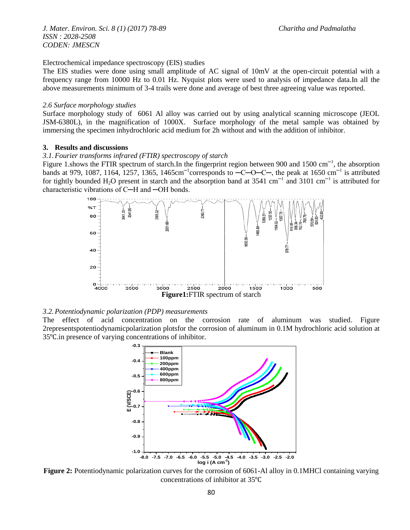Electrochemical impedance spectroscopy (EIS) studies

The EIS studies were done using small amplitude of AC signal of 10mV at the open-circuit potential with a frequency range from 10000 Hz to 0.01 Hz. Nyquist plots were used to analysis of impedance data.In all the above measurements minimum of 3-4 trails were done and average of best three agreeing value was reported.

#### *2.6 Surface morphology studies*

Surface morphology study of 6061 Al alloy was carried out by using analytical scanning microscope (JEOL JSM-6380L), in the magnification of 1000X. Surface morphology of the metal sample was obtained by immersing the specimen inhydrochloric acid medium for 2h without and with the addition of inhibitor.

## **3. Results and discussions**

#### *3.1.Fourier transforms infrared (FTIR) spectroscopy of starch*

Figure 1.shows the FTIR spectrum of starch.In the fingerprint region between 900 and 1500 cm<sup>-1</sup>, the absorption bands at 979, 1087, 1164, 1257, 1365, 1465cm<sup>-1</sup>corresponds to  $-C-O-C-$ , the peak at 1650 cm<sup>-1</sup> is attributed for tightly bounded H<sub>2</sub>O present in starch and the absorption band at 3541 cm<sup>-1</sup> and 3101 cm<sup>-1</sup> is attributed for characteristic vibrations of C─H and ─OH bonds.



#### *3.2.Potentiodynamic polarization (PDP) measurements*

The effect of acid concentration on the corrosion rate of aluminum was studied. Figure 2representspotentiodynamicpolarization plotsfor the corrosion of aluminum in 0.1M hydrochloric acid solution at 35℃.in presence of varying concentrations of inhibitor.



**Figure 2:** Potentiodynamic polarization curves for the corrosion of 6061-Al alloy in 0.1MHCl containing varying concentrations of inhibitor at 35℃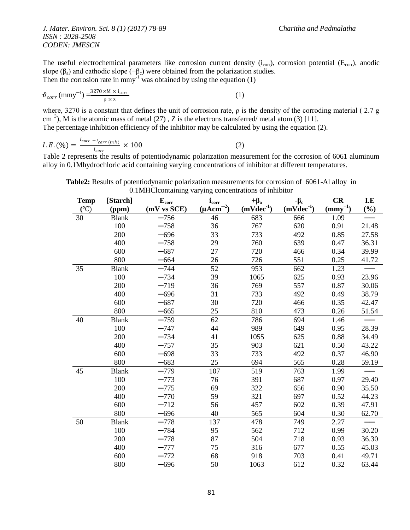The useful electrochemical parameters like corrosion current density  $(i_{\text{corr}})$ , corrosion potential ( $E_{\text{corr}}$ ), anodic slope ( $\beta_a$ ) and cathodic slope ( $-\beta_c$ ) were obtained from the polarization studies. Then the corrosion rate in mmy<sup>-1</sup> was obtained by using the equation  $(1)$ 

$$
\vartheta_{corr} \text{ (mmy}^{-1}) = \frac{3270 \times M \times i_{corr}}{\rho \times z} \tag{1}
$$

where, 3270 is a constant that defines the unit of corrosion rate, ρ is the density of the corroding material ( 2.7 g cm<sup>-3</sup>), M is the atomic mass of metal (27), Z is the electrons transferred/ metal atom (3) [11]. The percentage inhibition efficiency of the inhibitor may be calculated by using the equation (2).

$$
I.E. (\%) = \frac{i_{corr} - i_{corr \ (inh)}}{i_{corr}} \times 100 \tag{2}
$$

Table 2 represents the results of potentiodynamic polarization measurement for the corrosion of 6061 aluminum alloy in 0.1Mhydrochloric acid containing varying concentrations of inhibitor at different temperatures.

**Table2:** Results of potentiodynamic polarization measurements for corrosion of 6061-Al alloy in 0.1MHClcontaining varying concentrations of inhibitor

| <b>Temp</b>     | [Starch]     | $E_{corr}$  | $i_{corr}$              | $+\beta_a$  | $-\beta_c$     | CR                                | I.E    |
|-----------------|--------------|-------------|-------------------------|-------------|----------------|-----------------------------------|--------|
| $({}^{\circ}C)$ | (ppm)        | (mV vs SCE) | $(\mu \text{Acm}^{-2})$ | $(mVdec-1)$ | $(mVdec^{-1})$ | $\left(\frac{mmy^{-1}}{2}\right)$ | $(\%)$ |
| 30              | <b>Blank</b> | $-756$      | 46                      | 683         | 666            | 1.09                              |        |
|                 | 100          | $-758$      | 36                      | 767         | 620            | 0.91                              | 21.48  |
|                 | 200          | $-696$      | 33                      | 733         | 492            | 0.85                              | 27.58  |
|                 | 400          | $-758$      | 29                      | 760         | 639            | 0.47                              | 36.31  |
|                 | 600          | $-687$      | 27                      | 720         | 466            | 0.34                              | 39.99  |
|                 | 800          | $-664$      | 26                      | 726         | 551            | 0.25                              | 41.72  |
| 35              | <b>Blank</b> | $-744$      | 52                      | 953         | 662            | 1.23                              |        |
|                 | 100          | $-734$      | 39                      | 1065        | 625            | 0.93                              | 23.96  |
|                 | 200          | $-719$      | 36                      | 769         | 557            | 0.87                              | 30.06  |
|                 | 400          | $-696$      | 31                      | 733         | 492            | 0.49                              | 38.79  |
|                 | 600          | $-687$      | 30                      | 720         | 466            | 0.35                              | 42.47  |
|                 | 800          | $-665$      | 25                      | 810         | 473            | 0.26                              | 51.54  |
| 40              | <b>Blank</b> | $-759$      | 62                      | 786         | 694            | 1.46                              |        |
|                 | 100          | $-747$      | 44                      | 989         | 649            | 0.95                              | 28.39  |
|                 | 200          | $-734$      | 41                      | 1055        | 625            | 0.88                              | 34.49  |
|                 | 400          | $-757$      | 35                      | 903         | 621            | 0.50                              | 43.22  |
|                 | 600          | $-698$      | 33                      | 733         | 492            | 0.37                              | 46.90  |
|                 | 800          | $-683$      | 25                      | 694         | 565            | 0.28                              | 59.19  |
| 45              | <b>Blank</b> | $-779$      | 107                     | 519         | 763            | 1.99                              |        |
|                 | 100          | $-773$      | 76                      | 391         | 687            | 0.97                              | 29.40  |
|                 | 200          | $-775$      | 69                      | 322         | 656            | 0.90                              | 35.50  |
|                 | 400          | $-770$      | 59                      | 321         | 697            | 0.52                              | 44.23  |
|                 | 600          | $-712$      | 56                      | 457         | 602            | 0.39                              | 47.91  |
|                 | 800          | $-696$      | 40                      | 565         | 604            | 0.30                              | 62.70  |
| 50              | <b>Blank</b> | $-778$      | 137                     | 478         | 749            | 2.27                              |        |
|                 | 100          | $-784$      | 95                      | 562         | 712            | 0.99                              | 30.20  |
|                 | 200          | $-778$      | 87                      | 504         | 718            | 0.93                              | 36.30  |
|                 | 400          | $-777$      | 75                      | 316         | 677            | 0.55                              | 45.03  |
|                 | 600          | $-772$      | 68                      | 918         | 703            | 0.41                              | 49.71  |
|                 | 800          | $-696$      | 50                      | 1063        | 612            | 0.32                              | 63.44  |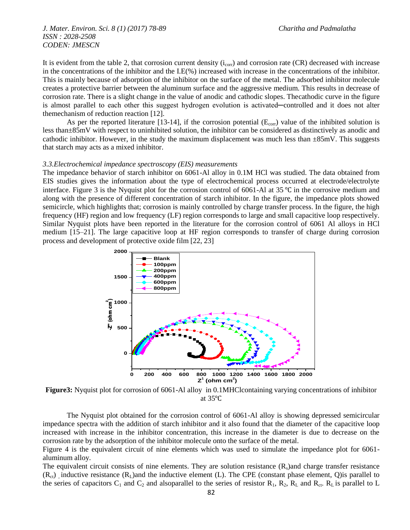It is evident from the table 2, that corrosion current density  $(i_{\text{corr}})$  and corrosion rate (CR) decreased with increase in the concentrations of the inhibitor and the I.E(%) increased with increase in the concentrations of the inhibitor. This is mainly because of adsorption of the inhibitor on the surface of the metal. The adsorbed inhibitor molecule creates a protective barrier between the aluminum surface and the aggressive medium. This results in decrease of corrosion rate. There is a slight change in the value of anodic and cathodic slopes. Thecathodic curve in the figure is almost parallel to each other this suggest hydrogen evolution is activated—controlled and it does not alter themechanism of reduction reaction [12].

As per the reported literature [13-14], if the corrosion potential  $(E_{\text{corr}})$  value of the inhibited solution is less than±85mV with respect to uninhibited solution, the inhibitor can be considered as distinctively as anodic and cathodic inhibitor. However, in the study the maximum displacement was much less than  $\pm 85$ mV. This suggests that starch may acts as a mixed inhibitor.

#### *3.3.Electrochemical impedance spectroscopy (EIS) measurements*

The impedance behavior of starch inhibitor on 6061-Al alloy in 0.1M HCl was studied. The data obtained from EIS studies gives the information about the type of electrochemical process occurred at electrode/electrolyte interface. Figure 3 is the Nyquist plot for the corrosion control of 6061-Al at 35 ℃ in the corrosive medium and along with the presence of different concentration of starch inhibitor. In the figure, the impedance plots showed semicircle, which highlights that; corrosion is mainly controlled by charge transfer process. In the figure, the high frequency (HF) region and low frequency (LF) region corresponds to large and small capacitive loop respectively. Similar Nyquist plots have been reported in the literature for the corrosion control of 6061 Al alloys in HCl medium [15–21]. The large capacitive loop at HF region corresponds to transfer of charge during corrosion process and development of protective oxide film [22, 23]



**Figure3:** Nyquist plot for corrosion of 6061-Al alloy in 0.1MHClcontaining varying concentrations of inhibitor at 35℃

The Nyquist plot obtained for the corrosion control of 6061-Al alloy is showing depressed semicircular impedance spectra with the addition of starch inhibitor and it also found that the diameter of the capacitive loop increased with increase in the inhibitor concentration, this increase in the diameter is due to decrease on the corrosion rate by the adsorption of the inhibitor molecule onto the surface of the metal.

Figure 4 is the equivalent circuit of nine elements which was used to simulate the impedance plot for 6061 aluminum alloy.

The equivalent circuit consists of nine elements. They are solution resistance  $(R_s)$  and charge transfer resistance  $(R<sub>ct</sub>)$  inductive resistance  $(R<sub>L</sub>)$  and the inductive element (L). The CPE (constant phase element, Q) is parallel to the series of capacitors  $C_1$  and  $C_2$  and alsoparallel to the series of resistor  $R_1$ ,  $R_2$ ,  $R_L$  and  $R_{ct}$ .  $R_L$  is parallel to L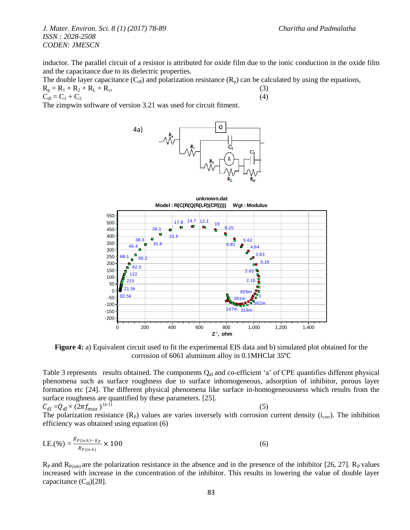inductor. The parallel circuit of a resistor is attributed for oxide film due to the ionic conduction in the oxide film and the capacitance due to its dielectric properties.

The double layer capacitance  $(C_{d_l})$  and polarization resistance  $(R_p)$  can be calculated by using the equations,

 $R_p = R_1 + R_2 + R_L + R_{ct}$  (3)<br>  $C_{d1} = C_1 + C_2$  (4)

 $C_{d1} = C_1 + C_2$ 

The zimpwin software of version 3.21 was used for circuit fitment.





**Figure 4:** a) Equivalent circuit used to fit the experimental EIS data and b) simulated plot obtained for the corrosion of 6061 aluminum alloy in 0.1MHClat 35℃

Table 3 represents results obtained. The components  $Q_d$  and co-efficient 'a' of CPE quantifies different physical phenomena such as surface roughness due to surface inhomogeneous, adsorption of inhibitor, porous layer formation etc [24]. The different physical phenomena like surface in-homogeneousness which results from the surface roughness are quantified by these parameters. [25].

 $\mathcal{C}_{dl} = Q_{dl} \times (2\pi f_{max})$  $(a-1)$  (3) The polarization resistance  $(R_P)$  values are varies inversely with corrosion current density  $(i_{corr})$ . The inhibition efficiency was obtained using equation (6)

I.E.(%) = 
$$
\frac{R_{P(inh)-R_P}}{R_{P(inh)}} \times 100
$$
 (6)

 $R_P$  and  $R_{P(inh)}$  are the polarization resistance in the absence and in the presence of the inhibitor [26, 27].  $R_P$  values increased with increase in the concentration of the inhibitor. This results in lowering the value of double layer capacitance  $(C_{\rm d})$ [28].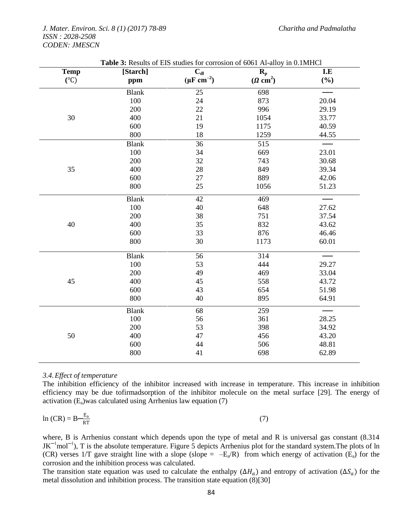| <b>Temp</b>   | <b>2.</b> <i><u>CONTERN</u></i><br>[Starch] | $\overline{C}_{dl}$     | $0001$ in ano,<br>$\mathbf{R}_{\rm p}$ | I.E   |
|---------------|---------------------------------------------|-------------------------|----------------------------------------|-------|
| $(^{\circ}C)$ | ppm                                         | $(\mu\text{F cm}^{-2})$ | $(\Omega \text{ cm}^2)$                | (%)   |
|               | <b>Blank</b>                                | 25                      | 698                                    |       |
|               | 100                                         | 24                      | 873                                    | 20.04 |
|               | 200                                         | 22                      | 996                                    | 29.19 |
| 30            | 400                                         | 21                      | 1054                                   | 33.77 |
|               | 600                                         | 19                      | 1175                                   | 40.59 |
|               | 800                                         | 18                      | 1259                                   | 44.55 |
|               | <b>Blank</b>                                | 36                      | 515                                    |       |
|               | 100                                         | 34                      | 669                                    | 23.01 |
|               | 200                                         | 32                      | 743                                    | 30.68 |
| 35            | 400                                         | 28                      | 849                                    | 39.34 |
|               | 600                                         | $27\,$                  | 889                                    | 42.06 |
|               | 800                                         | 25                      | 1056                                   | 51.23 |
|               | <b>Blank</b>                                | 42                      | 469                                    |       |
|               | 100                                         | 40                      | 648                                    | 27.62 |
|               | 200                                         | 38                      | 751                                    | 37.54 |
| 40            | 400                                         | 35                      | 832                                    | 43.62 |
|               | 600                                         | 33                      | 876                                    | 46.46 |
|               | 800                                         | 30                      | 1173                                   | 60.01 |
|               | <b>Blank</b>                                | 56                      | 314                                    |       |
|               | 100                                         | 53                      | 444                                    | 29.27 |
|               | 200                                         | 49                      | 469                                    | 33.04 |
| 45            | 400                                         | 45                      | 558                                    | 43.72 |
|               | 600                                         | 43                      | 654                                    | 51.98 |
|               | 800                                         | 40                      | 895                                    | 64.91 |
|               | <b>Blank</b>                                | 68                      | 259                                    |       |
|               | 100                                         | 56                      | 361                                    | 28.25 |
|               | 200                                         | 53                      | 398                                    | 34.92 |
| $50\,$        | 400                                         | 47                      | 456                                    | 43.20 |
|               | 600                                         | 44                      | 506                                    | 48.81 |
|               | 800                                         | 41                      | 698                                    | 62.89 |

# **Table 3:** Results of EIS studies for corrosion of 6061 Al-alloy in 0.1MHCl

# *3.4.Effect of temperature*

The inhibition efficiency of the inhibitor increased with increase in temperature. This increase in inhibition efficiency may be due tofirmadsorption of the inhibitor molecule on the metal surface [29]. The energy of activation  $(E_a)$ was calculated using Arrhenius law equation (7)

$$
\ln\left(CR\right) = B \frac{E_a}{RT} \tag{7}
$$

where, B is Arrhenius constant which depends upon the type of metal and R is universal gas constant (8.314)  $JK^{-1}$ mol<sup>-1</sup>), T is the absolute temperature. Figure 5 depicts Arrhenius plot for the standard system. The plots of ln (CR) verses 1/T gave straight line with a slope (slope =  $-E_a/R$ ) from which energy of activation ( $E_a$ ) for the corrosion and the inhibition process was calculated.

The transition state equation was used to calculate the enthalpy ( $\Delta H_a$ ) and entropy of activation ( $\Delta S_a$ ) for the metal dissolution and inhibition process. The transition state equation (8)[30]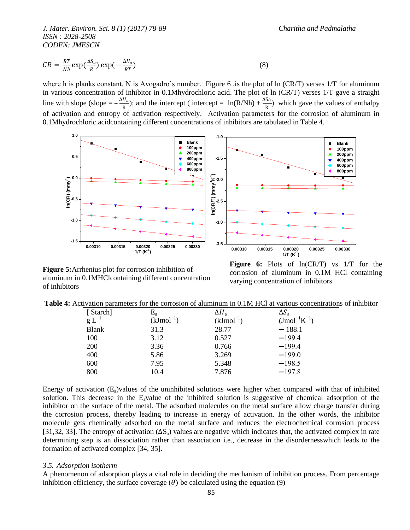$$
CR = \frac{RT}{Nh} \exp(\frac{\Delta S_a}{R}) \exp(-\frac{\Delta H_a}{RT})
$$
\n(8)

where h is planks constant, N is Avogadro's number. Figure 6 .is the plot of ln (CR/T) verses  $1/T$  for aluminum in various concentration of inhibitor in 0.1Mhydrochloric acid. The plot of ln (CR/T) verses 1/T gave a straight line with slope (slope  $=-\frac{\Delta H_a}{R}$  $\frac{H_a}{R}$ ); and the intercept ( intercept = ln(R/Nh) +  $\frac{\Delta Sa}{R}$ ) which gave the values of enthalpy of activation and entropy of activation respectively. Activation parameters for the corrosion of aluminum in 0.1Mhydrochloric acidcontaining different concentrations of inhibitors are tabulated in Table 4.



**Figure 5:**Arrhenius plot for corrosion inhibition of aluminum in 0.1MHClcontaining different concentration of inhibitors

**Figure 6:** Plots of ln(CR/T) vs 1/T for the corrosion of aluminum in 0.1M HCl containing varying concentration of inhibitors

|  |  |  | <b>Table 4:</b> Activation parameters for the corrosion of aluminum in 0.1M HCl at various concentrations of inhibitor |
|--|--|--|------------------------------------------------------------------------------------------------------------------------|
|--|--|--|------------------------------------------------------------------------------------------------------------------------|

| [Starch]     | $\rm E_a$  | $\Delta H_a$ | $\Delta S_a$        |
|--------------|------------|--------------|---------------------|
| $g L^{-1}$   | $(kJmol-)$ | (kJmol       | $(Jmol^{-1}K^{-1})$ |
| <b>Blank</b> | 31.3       | 28.77        | $-188.1$            |
| 100          | 3.12       | 0.527        | $-199.4$            |
| 200          | 3.36       | 0.766        | $-199.4$            |
| 400          | 5.86       | 3.269        | $-199.0$            |
| 600          | 7.95       | 5.348        | $-198.5$            |
| 800          | 10.4       | 7.876        | $-197.8$            |

Energy of activation  $(E_a)$  values of the uninhibited solutions were higher when compared with that of inhibited solution. This decrease in the E<sub>a</sub>value of the inhibited solution is suggestive of chemical adsorption of the inhibitor on the surface of the metal. The adsorbed molecules on the metal surface allow charge transfer during the corrosion process, thereby leading to increase in energy of activation. In the other words, the inhibitor molecule gets chemically adsorbed on the metal surface and reduces the electrochemical corrosion process [31,32, 33]. The entropy of activation  $(\Delta S_a)$  values are negative which indicates that, the activated complex in rate determining step is an dissociation rather than association i.e., decrease in the disordernesswhich leads to the formation of activated complex [34, 35].

#### *3.5. Adsorption isotherm*

A phenomenon of adsorption plays a vital role in deciding the mechanism of inhibition process. From percentage inhibition efficiency, the surface coverage  $(\theta)$  be calculated using the equation (9)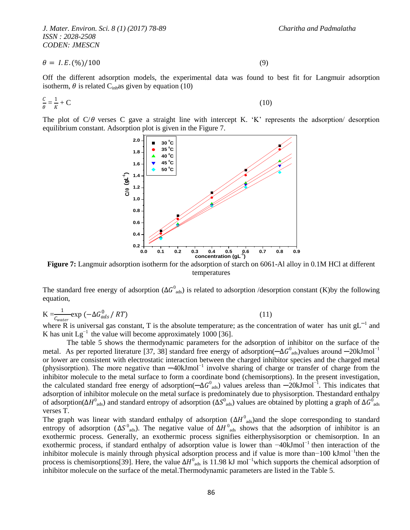$$
\theta = I.E. (\%) / 100 \tag{9}
$$

Off the different adsorption models, the experimental data was found to best fit for Langmuir adsorption isotherm,  $\theta$  is related C<sub>inh</sub>as given by equation (10)

$$
\frac{c}{\theta} = \frac{1}{K} + C \tag{10}
$$

The plot of  $C/\theta$  verses C gave a straight line with intercept K. 'K' represents the adsorption/ desorption equilibrium constant. Adsorption plot is given in the Figure 7.



**Figure 7:** Langmuir adsorption isotherm for the adsorption of starch on 6061-Al alloy in 0.1M HCl at different temperatures

The standard free energy of adsorption ( $\Delta G^0_{ads}$ ) is related to adsorption /desorption constant (K)by the following equation,

$$
K = \frac{1}{C_{water}} \exp\left(-\Delta G_{ads}^0 / RT\right) \tag{11}
$$

where R is universal gas constant, T is the absolute temperature; as the concentration of water has unit  $gL^{-1}$  and where R is universal gas constant, T is the absolute temperature; as the concentration of water has unit K has unit  $Lg^{-1}$  the value will become approximately 1000 [36].

The table 5 shows the thermodynamic parameters for the adsorption of inhibitor on the surface of the metal. As per reported literature [37, 38] standard free energy of adsorption( $-\Delta G^0_{ads}$ )values around  $-20$ kJmol<sup>-1</sup> or lower are consistent with electrostatic interaction between the charged inhibitor species and the charged metal (physisorption). The more negative than ─40kJmol−1 involve sharing of charge or transfer of charge from the inhibitor molecule to the metal surface to form a coordinate bond (chemisorptions). In the present investigation, the calculated standard free energy of adsorption( $-\Delta G_{ads}^{0}$ ) values areless than  $-20kJmol^{-1}$ . This indicates that adsorption of inhibitor molecule on the metal surface is predominately due to physisorption. Thestandard enthalpy of adsorption(ΔH<sup>0</sup><sub>ads</sub>) and standard entropy of adsorption (ΔS<sup>0</sup><sub>ads</sub>) values are obtained by plotting a graph of ΔG<sup>0</sup><sub>ads</sub> verses T.

The graph was linear with standard enthalpy of adsorption ( $\Delta H^0$ <sub>ads</sub>)and the slope corresponding to standard entropy of adsorption ( $\Delta S^0$ <sub>ads</sub>). The negative value of  $\Delta H^0$ <sub>ads</sub> shows that the adsorption of inhibitor is an exothermic process. Generally, an exothermic process signifies eitherphysisorption or chemisorption. In an exothermic process, if standard enthalpy of adsorption value is lower than −40kJmol<sup>-1</sup> then interaction of the inhibitor molecule is mainly through physical adsorption process and if value is more than–100 kJmol<sup>-1</sup>then the process is chemisorptions[39]. Here, the value  $\Delta H^0_{ads}$  is 11.98 kJ mol<sup>-1</sup>which supports the chemical adsorption of inhibitor molecule on the surface of the metal.Thermodynamic parameters are listed in the Table 5.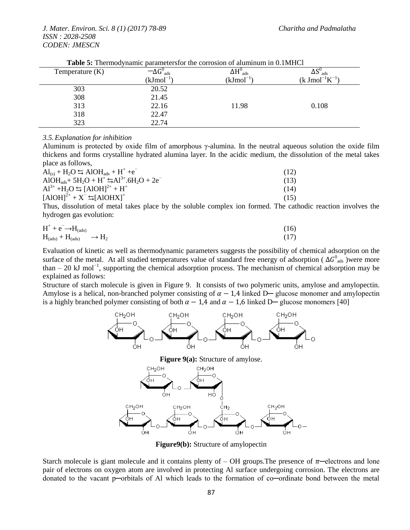| Temperature $(K)$ | $-\Delta G_{\ \, \rm ads}^{\rm o}$ | $\Delta H_{\text{ads}}^0$ | $\Delta S_{\text{ads}}$                       |
|-------------------|------------------------------------|---------------------------|-----------------------------------------------|
|                   | (kJ $\mathrm{mol}^{-1}$            | $(kJmol^{-1})$            | $(k \text{ J} \text{mol}^{-1} \text{K}^{-1})$ |
| 303               | 20.52                              |                           |                                               |
| 308               | 21.45                              |                           |                                               |
| 313               | 22.16                              | 11.98                     | 0.108                                         |
| 318               | 22.47                              |                           |                                               |
| 323               | 22.74                              |                           |                                               |

**Table 5:** Thermodynamic parametersfor the corrosion of aluminum in 0.1MHCl

#### *3.5.Explanation for inhibition*

Aluminum is protected by oxide film of amorphous  $\gamma$ -alumina. In the neutral aqueous solution the oxide film thickens and forms crystalline hydrated alumina layer. In the acidic medium, the dissolution of the metal takes place as follows,

| $Al_{(s)} + H_2O \leftrightarrows AlOH_{ads} + H^+ + e^-$                                                             | (12) |
|-----------------------------------------------------------------------------------------------------------------------|------|
| AlOH <sub>ads</sub> + 5H <sub>2</sub> O + H <sup>+</sup> $\leq$ Al <sup>3+</sup> .6H <sub>2</sub> O + 2e <sup>-</sup> | (13) |
| $Al^{3+} + H_2O \leq [AlOH]^{2+} + H^+$                                                                               | (14) |
| $[AIOH]^{2+} + X^{-} \leq [AIOHX]^{+}$                                                                                | (15) |
|                                                                                                                       |      |

Thus, dissolution of metal takes place by the soluble complex ion formed. The cathodic reaction involves the hydrogen gas evolution:

$$
H^{+} + e^{-} \rightarrow H_{(ads)} \rightarrow H_{2}
$$
\n
$$
(16)
$$
\n
$$
H_{(ads)} + H_{(ads)} \rightarrow H_{2}
$$
\n
$$
(17)
$$

Evaluation of kinetic as well as thermodynamic parameters suggests the possibility of chemical adsorption on the surface of the metal. At all studied temperatures value of standard free energy of adsorption ( $\Delta G_{ads}^{0}$ )were more than – 20 kJ mol−1 , supporting the chemical adsorption process. The mechanism of chemical adsorption may be explained as follows:

Structure of starch molecule is given in Figure 9. It consists of two polymeric units, amylose and amylopectin. Amylose is a helical, non-branched polymer consisting of  $\alpha - 1.4$  linked D— glucose monomer and amylopectin is a highly branched polymer consisting of both  $\alpha - 1.4$  and  $\alpha - 1.6$  linked D— glucose monomers [40]



**Figure9(b):** Structure of amylopectin

Starch molecule is giant molecule and it contains plenty of  $-$  OH groups. The presence of  $\pi$ —electrons and lone pair of electrons on oxygen atom are involved in protecting Al surface undergoing corrosion. The electrons are donated to the vacant p─orbitals of Al which leads to the formation of co─ordinate bond between the metal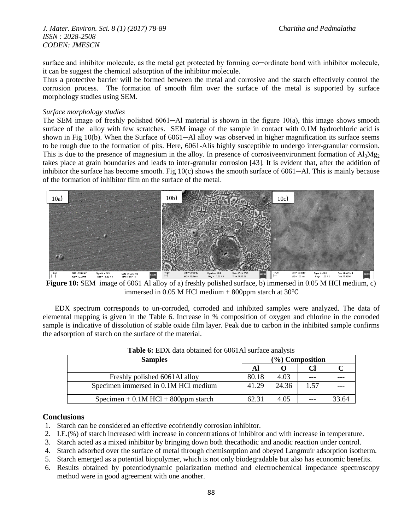surface and inhibitor molecule, as the metal get protected by forming co—ordinate bond with inhibitor molecule, it can be suggest the chemical adsorption of the inhibitor molecule.

Thus a protective barrier will be formed between the metal and corrosive and the starch effectively control the corrosion process. The formation of smooth film over the surface of the metal is supported by surface morphology studies using SEM.

#### *Surface morphology studies*

The SEM image of freshly polished 6061—Al material is shown in the figure 10(a), this image shows smooth surface of the alloy with few scratches. SEM image of the sample in contact with 0.1M hydrochloric acid is shown in Fig 10(b). When the Surface of 6061—Al alloy was observed in higher magnification its surface seems to be rough due to the formation of pits. Here, 6061-Alis highly susceptible to undergo inter-granular corrosion. This is due to the presence of magnesium in the alloy. In presence of corrosiveenvironment formation of  $Al_3Mg_2$ takes place at grain boundaries and leads to inter-granular corrosion [43]. It is evident that, after the addition of inhibitor the surface has become smooth. Fig 10(c) shows the smooth surface of 6061—Al. This is mainly because of the formation of inhibitor film on the surface of the metal.



**Figure 10:** SEM image of 6061 Al alloy of a) freshly polished surface, b) immersed in 0.05 M HCl medium, c) immersed in 0.05 M HCl medium + 800ppm starch at 30℃

EDX spectrum corresponds to un-corroded, corroded and inhibited samples were analyzed. The data of elemental mapping is given in the Table 6. Increase in % composition of oxygen and chlorine in the corroded sample is indicative of dissolution of stable oxide film layer. Peak due to carbon in the inhibited sample confirms the adsorption of starch on the surface of the material.

| <b>Samples</b>                          |       |       | $(\%)$ Composition |       |
|-----------------------------------------|-------|-------|--------------------|-------|
|                                         | Al    |       |                    |       |
| Freshly polished 6061Al alloy           | 80.18 | 4.03  |                    |       |
| Specimen immersed in 0.1M HCl medium    | 41.29 | 24.36 | 1.57               |       |
| Specimen $+$ 0.1M HCl $+$ 800ppm starch | 62.31 | 4.05  |                    | 33.64 |

| <b>Table 6:</b> EDX data obtained for 6061Al surface analysis |  |  |  |  |  |
|---------------------------------------------------------------|--|--|--|--|--|
|---------------------------------------------------------------|--|--|--|--|--|

### **Conclusions**

- 1. Starch can be considered an effective ecofriendly corrosion inhibitor.
- 2. I.E.(%) of starch increased with increase in concentrations of inhibitor and with increase in temperature.
- 3. Starch acted as a mixed inhibitor by bringing down both thecathodic and anodic reaction under control.
- 4. Starch adsorbed over the surface of metal through chemisorption and obeyed Langmuir adsorption isotherm.
- 5. Starch emerged as a potential biopolymer, which is not only biodegradable but also has economic benefits.
- 6. Results obtained by potentiodynamic polarization method and electrochemical impedance spectroscopy method were in good agreement with one another.